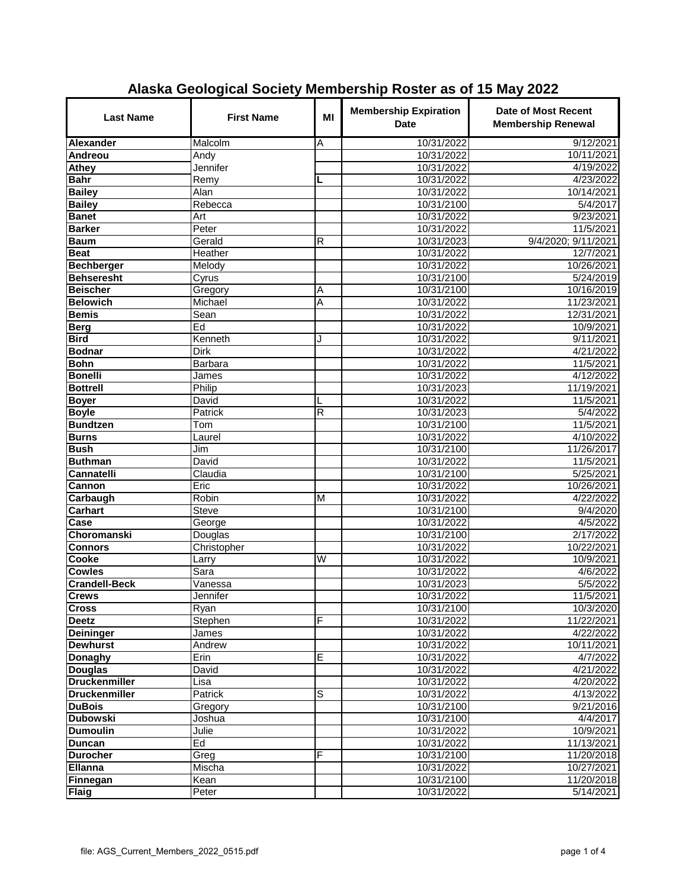| <b>Last Name</b>                    | <b>First Name</b>              | MI                      | <b>Membership Expiration</b><br><b>Date</b> | Date of Most Recent<br><b>Membership Renewal</b> |
|-------------------------------------|--------------------------------|-------------------------|---------------------------------------------|--------------------------------------------------|
| Alexander                           | Malcolm                        | Α                       | 10/31/2022                                  | 9/12/2021                                        |
| Andreou                             | Andy                           |                         | 10/31/2022                                  | 10/11/2021                                       |
| Athey                               | Jennifer                       |                         | 10/31/2022                                  | 4/19/2022                                        |
| <b>Bahr</b>                         | Remy                           | L                       | 10/31/2022                                  | 4/23/2022                                        |
| <b>Bailey</b>                       | Alan                           |                         | 10/31/2022                                  | 10/14/2021                                       |
| <b>Bailey</b>                       | Rebecca                        |                         | 10/31/2100                                  | 5/4/2017                                         |
| <b>Banet</b>                        | Art                            |                         | 10/31/2022                                  | 9/23/2021                                        |
| <b>Barker</b>                       | Peter                          |                         | 10/31/2022                                  | 11/5/2021                                        |
| <b>Baum</b>                         | Gerald                         | R                       | 10/31/2023                                  | 9/4/2020; 9/11/2021                              |
| <b>Beat</b>                         | Heather                        |                         | 10/31/2022                                  | 12/7/2021                                        |
| <b>Bechberger</b>                   | Melody                         |                         | 10/31/2022                                  | 10/26/2021                                       |
| <b>Behseresht</b>                   | Cyrus                          |                         | 10/31/2100                                  | 5/24/2019                                        |
| <b>Beischer</b>                     | Gregory                        | Α                       | 10/31/2100                                  | 10/16/2019                                       |
| <b>Belowich</b>                     | Michael                        | Α                       | 10/31/2022                                  | 11/23/2021                                       |
| <b>Bemis</b>                        | Sean                           |                         | 10/31/2022                                  | 12/31/2021                                       |
| <b>Berg</b>                         | Ed                             |                         | 10/31/2022                                  | 10/9/2021                                        |
| <b>Bird</b>                         | Kenneth                        | J                       | 10/31/2022                                  | 9/11/2021                                        |
| <b>Bodnar</b>                       | Dirk                           |                         | 10/31/2022                                  | 4/21/2022                                        |
| <b>Bohn</b>                         | Barbara                        |                         | 10/31/2022                                  | 11/5/2021                                        |
| <b>Bonelli</b>                      | James                          |                         | 10/31/2022                                  | 4/12/2022                                        |
| <b>Bottrell</b>                     | Philip                         |                         | 10/31/2023                                  | 11/19/2021                                       |
| <b>Boyer</b>                        | David                          | L                       | 10/31/2022                                  | 11/5/2021                                        |
| <b>Boyle</b>                        | Patrick                        | $\overline{\mathsf{R}}$ | 10/31/2023                                  | 5/4/2022                                         |
| <b>Bundtzen</b>                     | Tom                            |                         | 10/31/2100                                  | 11/5/2021                                        |
| <b>Burns</b>                        | Laurel                         |                         | 10/31/2022                                  | 4/10/2022                                        |
| <b>Bush</b>                         | Jim                            |                         | 10/31/2100                                  | 11/26/2017                                       |
| <b>Buthman</b>                      | David                          |                         | 10/31/2022                                  | 11/5/2021                                        |
| Cannatelli                          | Claudia                        |                         | 10/31/2100                                  | 5/25/2021                                        |
| Cannon                              | Eric                           |                         | 10/31/2022                                  | 10/26/2021                                       |
| <b>Carbaugh</b>                     | Robin                          | M                       | 10/31/2022                                  | 4/22/2022                                        |
| Carhart                             | <b>Steve</b>                   |                         | 10/31/2100                                  | 9/4/2020                                         |
| Case                                | George                         |                         | 10/31/2022                                  | 4/5/2022                                         |
| <b>Choromanski</b>                  | Douglas                        |                         | 10/31/2100                                  | 2/17/2022                                        |
| <b>Connors</b>                      | Christopher                    |                         | 10/31/2022                                  | 10/22/2021                                       |
| Cooke                               | Larry                          | W                       | 10/31/2022                                  | 10/9/2021                                        |
| <b>Cowles</b>                       | Sara                           |                         | 10/31/2022                                  | 4/6/2022                                         |
| <b>Crandell-Beck</b>                | $\overline{\mathsf{V}}$ anessa |                         | 10/31/2023<br>10/31/2022                    | 5/5/2022                                         |
| <b>Crews</b>                        | Jennifer                       |                         |                                             | 11/5/2021                                        |
| <b>Cross</b>                        | Ryan                           | F                       | 10/31/2100                                  | 10/3/2020<br>11/22/2021                          |
| <b>Deetz</b>                        | Stephen                        |                         | 10/31/2022<br>10/31/2022                    | 4/22/2022                                        |
| <b>Deininger</b><br><b>Dewhurst</b> | James                          |                         | 10/31/2022                                  |                                                  |
| <b>Donaghy</b>                      | Andrew<br>Erin                 | Е                       |                                             | 10/11/2021<br>4/7/2022                           |
| <b>Douglas</b>                      | David                          |                         | 10/31/2022<br>10/31/2022                    | 4/21/2022                                        |
| <b>Druckenmiller</b>                | Lisa                           |                         | 10/31/2022                                  | 4/20/2022                                        |
| <b>Druckenmiller</b>                | Patrick                        | S                       | 10/31/2022                                  | 4/13/2022                                        |
| <b>DuBois</b>                       | Gregory                        |                         | 10/31/2100                                  | 9/21/2016                                        |
| <b>Dubowski</b>                     | Joshua                         |                         | 10/31/2100                                  | 4/4/2017                                         |
| <b>Dumoulin</b>                     | Julie                          |                         | 10/31/2022                                  | 10/9/2021                                        |
|                                     | Ed                             |                         | 10/31/2022                                  | 11/13/2021                                       |
| <b>Duncan</b><br><b>Durocher</b>    | Greg                           | F                       | 10/31/2100                                  | 11/20/2018                                       |
| Ellanna                             | Mischa                         |                         | 10/31/2022                                  | 10/27/2021                                       |
| Finnegan                            | Kean                           |                         | 10/31/2100                                  | 11/20/2018                                       |
| <b>Flaig</b>                        | Peter                          |                         | 10/31/2022                                  | 5/14/2021                                        |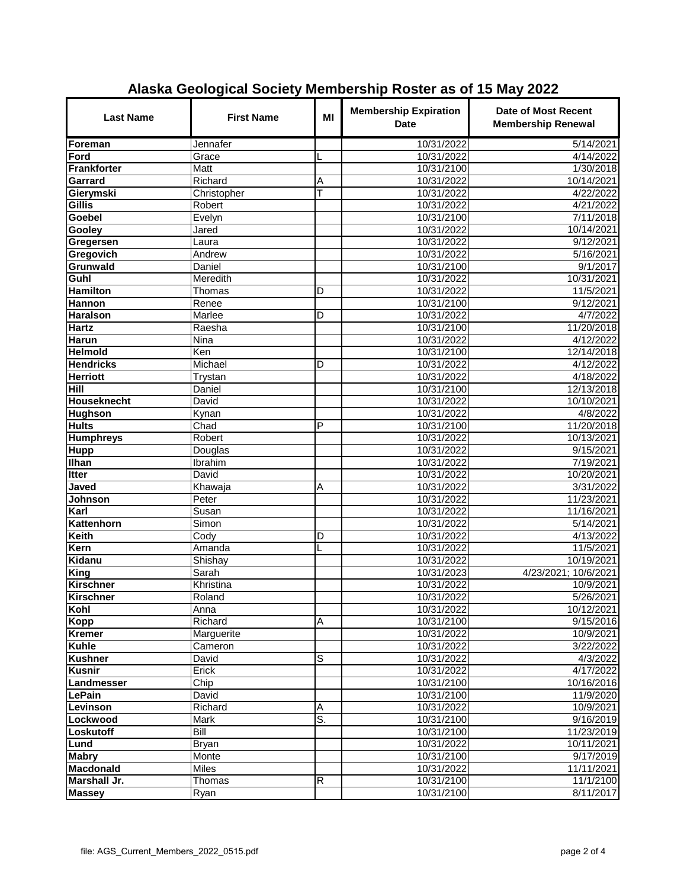| <b>Last Name</b>   | <b>First Name</b> | MI | <b>Membership Expiration</b><br><b>Date</b> | Date of Most Recent<br><b>Membership Renewal</b> |
|--------------------|-------------------|----|---------------------------------------------|--------------------------------------------------|
| Foreman            | Jennafer          |    | 10/31/2022                                  | 5/14/2021                                        |
| Ford               | Grace             |    | 10/31/2022                                  | 4/14/2022                                        |
| Frankforter        | <b>Matt</b>       |    | 10/31/2100                                  | 1/30/2018                                        |
| Garrard            | Richard           | Α  | 10/31/2022                                  | 10/14/2021                                       |
| Gierymski          | Christopher       | Т  | 10/31/2022                                  | 4/22/2022                                        |
| Gillis             | Robert            |    | 10/31/2022                                  | 4/21/2022                                        |
| <b>Goebel</b>      | <b>Evelyn</b>     |    | 10/31/2100                                  | 7/11/2018                                        |
| Gooley             | Jared             |    | 10/31/2022                                  | 10/14/2021                                       |
| Gregersen          | Laura             |    | 10/31/2022                                  | 9/12/2021                                        |
| Gregovich          | Andrew            |    | 10/31/2022                                  | 5/16/2021                                        |
| Grunwald           | Daniel            |    | 10/31/2100                                  | 9/1/2017                                         |
| Guhl               | Meredith          |    | 10/31/2022                                  | 10/31/2021                                       |
| <b>Hamilton</b>    | Thomas            | D  | 10/31/2022                                  | 11/5/2021                                        |
| <b>Hannon</b>      | Renee             |    | 10/31/2100                                  | 9/12/2021                                        |
| <b>Haralson</b>    | <b>Marlee</b>     | D  | 10/31/2022                                  | 4/7/2022                                         |
| <b>Hartz</b>       | Raesha            |    | 10/31/2100                                  | 11/20/2018                                       |
| Harun              | Nina              |    | 10/31/2022                                  | 4/12/2022                                        |
| <b>Helmold</b>     | Ken               |    | 10/31/2100                                  | 12/14/2018                                       |
| <b>Hendricks</b>   | Michael           | D  | 10/31/2022                                  | 4/12/2022                                        |
| <b>Herriott</b>    | <b>Trystan</b>    |    | 10/31/2022                                  | 4/18/2022                                        |
| Hill               | Daniel            |    | 10/31/2100                                  | 12/13/2018                                       |
| <b>Houseknecht</b> | David             |    | 10/31/2022                                  | 10/10/2021                                       |
| <b>Hughson</b>     | Kynan             |    | 10/31/2022                                  | 4/8/2022                                         |
| <b>Hults</b>       | Chad              | P  | 10/31/2100                                  | 11/20/2018                                       |
| <b>Humphreys</b>   | Robert            |    | 10/31/2022                                  | 10/13/2021                                       |
| <b>Hupp</b>        | Douglas           |    | 10/31/2022                                  | 9/15/2021                                        |
| <b>Ilhan</b>       | Ibrahim           |    | 10/31/2022                                  | 7/19/2021                                        |
| <b>Itter</b>       | David             |    | 10/31/2022                                  | 10/20/2021                                       |
| Javed              | Khawaja           | Α  | 10/31/2022                                  | 3/31/2022                                        |
| Johnson            | Peter             |    | 10/31/2022                                  | 11/23/2021                                       |
| Karl               | Susan             |    | 10/31/2022                                  | 11/16/2021                                       |
| Kattenhorn         | Simon             |    | 10/31/2022                                  | 5/14/2021                                        |
| <b>Keith</b>       | Cody              | D  | 10/31/2022                                  | 4/13/2022                                        |
| Kern               | Amanda            | L  | 10/31/2022                                  | 11/5/2021                                        |
| Kidanu             | Shishay           |    | 10/31/2022                                  | 10/19/2021                                       |
| King               | Sarah             |    | 10/31/2023                                  | 4/23/2021; 10/6/2021                             |
| <b>Kirschner</b>   | Khristina         |    | 10/31/2022                                  | 10/9/2021                                        |
| <b>Kirschner</b>   | Roland            |    | 10/31/2022                                  | 5/26/2021                                        |
| Kohl               | Anna              |    | 10/31/2022                                  | 10/12/2021                                       |
| Kopp               | Richard           | Α  | 10/31/2100                                  | 9/15/2016                                        |
| <b>Kremer</b>      | Marguerite        |    | 10/31/2022                                  | 10/9/2021                                        |
| <b>Kuhle</b>       | Cameron           |    | 10/31/2022                                  | 3/22/2022                                        |
| <b>Kushner</b>     | David             | S  | 10/31/2022                                  | 4/3/2022                                         |
| <b>Kusnir</b>      | Erick             |    | 10/31/2022                                  | 4/17/2022                                        |
| Landmesser         | Chip              |    | 10/31/2100                                  | 10/16/2016                                       |
| LePain             | David             |    | 10/31/2100                                  | 11/9/2020                                        |
| Levinson           | Richard           | Α  | 10/31/2022                                  | 10/9/2021                                        |
| Lockwood           | Mark              | s. | 10/31/2100                                  | 9/16/2019                                        |
| Loskutoff          | Bill              |    | 10/31/2100                                  | 11/23/2019                                       |
| Lund               | Bryan             |    | 10/31/2022                                  | 10/11/2021                                       |
| <b>Mabry</b>       | Monte             |    | 10/31/2100                                  | 9/17/2019                                        |
| Macdonald          | Miles             |    | 10/31/2022                                  | 11/11/2021                                       |
| Marshall Jr.       | Thomas            | R  | 10/31/2100                                  | 11/1/2100                                        |
| <b>Massey</b>      | Ryan              |    | 10/31/2100                                  | 8/11/2017                                        |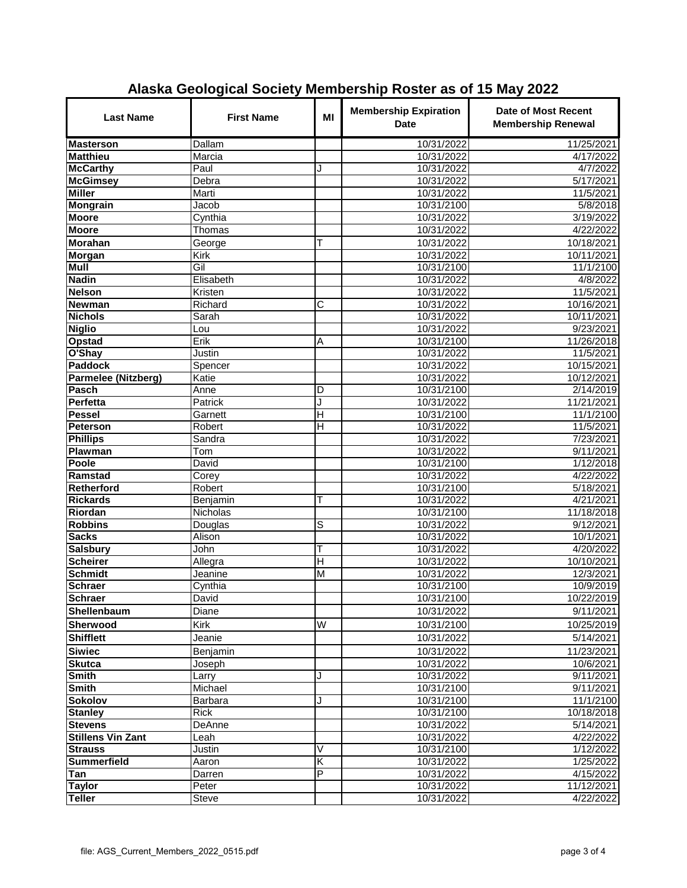| <b>Last Name</b>           | <b>First Name</b> | MI                      | <b>Membership Expiration</b><br><b>Date</b> | <b>Date of Most Recent</b><br><b>Membership Renewal</b> |
|----------------------------|-------------------|-------------------------|---------------------------------------------|---------------------------------------------------------|
| <b>Masterson</b>           | <b>Dallam</b>     |                         | 10/31/2022                                  | 11/25/2021                                              |
| <b>Matthieu</b>            | Marcia            |                         | 10/31/2022                                  | 4/17/2022                                               |
| <b>McCarthy</b>            | Paul              | J                       | 10/31/2022                                  | 4/7/2022                                                |
| <b>McGimsey</b>            | Debra             |                         | 10/31/2022                                  | 5/17/2021                                               |
| <b>Miller</b>              | Marti             |                         | 10/31/2022                                  | 11/5/2021                                               |
| <b>Mongrain</b>            | Jacob             |                         | 10/31/2100                                  | 5/8/2018                                                |
| <b>Moore</b>               | Cynthia           |                         | 10/31/2022                                  | 3/19/2022                                               |
| <b>Moore</b>               | Thomas            |                         | 10/31/2022                                  | 4/22/2022                                               |
| Morahan                    | George            | Т                       | 10/31/2022                                  | 10/18/2021                                              |
| <b>Morgan</b>              | <b>Kirk</b>       |                         | 10/31/2022                                  | 10/11/2021                                              |
| Mull                       | Gil               |                         | 10/31/2100                                  | 11/1/2100                                               |
| <b>Nadin</b>               | Elisabeth         |                         | 10/31/2022                                  | 4/8/2022                                                |
| <b>Nelson</b>              | Kristen           |                         | 10/31/2022                                  | 11/5/2021                                               |
| <b>Newman</b>              | Richard           | С                       | 10/31/2022                                  | 10/16/2021                                              |
| <b>Nichols</b>             | Sarah             |                         | 10/31/2022                                  | 10/11/2021                                              |
| <b>Niglio</b>              | Lou               |                         | 10/31/2022                                  | 9/23/2021                                               |
| <b>Opstad</b>              | Erik              | A                       | 10/31/2100                                  | 11/26/2018                                              |
| O'Shay                     | <b>Justin</b>     |                         | 10/31/2022                                  | 11/5/2021                                               |
| <b>Paddock</b>             | Spencer           |                         | 10/31/2022                                  | 10/15/2021                                              |
| <b>Parmelee (Nitzberg)</b> | Katie             |                         | 10/31/2022                                  | 10/12/2021                                              |
| Pasch                      | Anne              | D                       | 10/31/2100                                  | 2/14/2019                                               |
| <b>Perfetta</b>            | Patrick           | J                       | 10/31/2022                                  | 11/21/2021                                              |
| <b>Pessel</b>              | Garnett           | Η                       | 10/31/2100                                  | 11/1/2100                                               |
| <b>Peterson</b>            | Robert            | Π                       | 10/31/2022                                  | 11/5/2021                                               |
| <b>Phillips</b>            | Sandra            |                         | 10/31/2022                                  | 7/23/2021                                               |
| Plawman                    | Tom               |                         | 10/31/2022                                  | 9/11/2021                                               |
| Poole                      | David             |                         | 10/31/2100                                  | 1/12/2018                                               |
| Ramstad                    | Corey             |                         | 10/31/2022                                  | 4/22/2022                                               |
| <b>Retherford</b>          | Robert            |                         | 10/31/2100                                  | 5/18/2021                                               |
| <b>Rickards</b>            | Benjamin          | т                       | 10/31/2022                                  | 4/21/2021                                               |
| Riordan                    | Nicholas          |                         | 10/31/2100                                  | 11/18/2018                                              |
| <b>Robbins</b>             | Douglas           | S                       | 10/31/2022                                  | 9/12/2021                                               |
| <b>Sacks</b>               | Alison            |                         | 10/31/2022                                  | 10/1/2021                                               |
| <b>Salsbury</b>            | John              | т                       | 10/31/2022                                  | 4/20/2022                                               |
| <b>Scheirer</b>            | Allegra           | $\overline{\mathsf{H}}$ | 10/31/2022                                  | 10/10/2021                                              |
| <b>Schmidt</b>             | Jeanine           | M                       | 10/31/2022                                  | 12/3/2021                                               |
| <b>Schraer</b><br>Schraer  | Cynthia<br>David  |                         | 10/31/2100                                  | 10/9/2019                                               |
|                            |                   |                         | 10/31/2100                                  | 10/22/2019                                              |
| Shellenbaum                | Diane             |                         | 10/31/2022                                  | 9/11/2021                                               |
| <b>Sherwood</b>            | Kirk              | W                       | 10/31/2100                                  | 10/25/2019                                              |
| <b>Shifflett</b>           | Jeanie            |                         | 10/31/2022                                  | 5/14/2021                                               |
| <b>Siwiec</b>              | Benjamin          |                         | 10/31/2022                                  | 11/23/2021                                              |
| <b>Skutca</b>              | Joseph            |                         | 10/31/2022                                  | 10/6/2021                                               |
| <b>Smith</b>               | Larry             | J                       | 10/31/2022                                  | 9/11/2021                                               |
| <b>Smith</b>               | Michael           |                         | 10/31/2100                                  | 9/11/2021                                               |
| Sokolov                    | Barbara           | J                       | 10/31/2100                                  | 11/1/2100                                               |
| <b>Stanley</b>             | Rick              |                         | 10/31/2100                                  | 10/18/2018                                              |
| <b>Stevens</b>             | DeAnne            |                         | 10/31/2022                                  | 5/14/2021                                               |
| <b>Stillens Vin Zant</b>   | Leah              |                         | 10/31/2022                                  | 4/22/2022                                               |
| <b>Strauss</b>             | Justin            | V                       | 10/31/2100                                  | 1/12/2022                                               |
| <b>Summerfield</b>         | Aaron             | K                       | 10/31/2022                                  | 1/25/2022                                               |
| Tan                        | Darren            | $\overline{P}$          | 10/31/2022                                  | 4/15/2022                                               |
| <b>Taylor</b>              | Peter             |                         | 10/31/2022                                  | 11/12/2021                                              |
| <b>Teller</b>              | Steve             |                         | 10/31/2022                                  | 4/22/2022                                               |